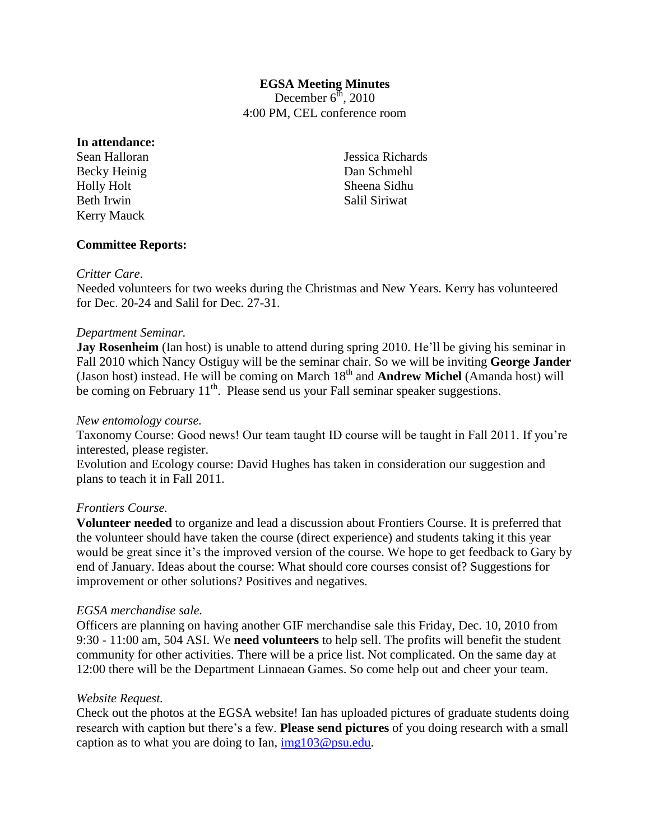# **EGSA Meeting Minutes**

December  $6^{\text{th}}$ , 2010 4:00 PM, CEL conference room

#### **In attendance:**

Sean Halloran Becky Heinig Holly Holt Beth Irwin Kerry Mauck

Jessica Richards Dan Schmehl Sheena Sidhu Salil Siriwat

# **Committee Reports:**

#### *Critter Care*.

Needed volunteers for two weeks during the Christmas and New Years. Kerry has volunteered for Dec. 20-24 and Salil for Dec. 27-31.

## *Department Seminar.*

**Jay Rosenheim** (Ian host) is unable to attend during spring 2010. He'll be giving his seminar in Fall 2010 which Nancy Ostiguy will be the seminar chair. So we will be inviting **George Jander** (Jason host) instead. He will be coming on March 18<sup>th</sup> and **Andrew Michel** (Amanda host) will be coming on February  $11<sup>th</sup>$ . Please send us your Fall seminar speaker suggestions.

#### *New entomology course.*

Taxonomy Course: Good news! Our team taught ID course will be taught in Fall 2011. If you're interested, please register.

Evolution and Ecology course: David Hughes has taken in consideration our suggestion and plans to teach it in Fall 2011.

#### *Frontiers Course.*

**Volunteer needed** to organize and lead a discussion about Frontiers Course. It is preferred that the volunteer should have taken the course (direct experience) and students taking it this year would be great since it's the improved version of the course. We hope to get feedback to Gary by end of January. Ideas about the course: What should core courses consist of? Suggestions for improvement or other solutions? Positives and negatives.

#### *EGSA merchandise sale.*

Officers are planning on having another GIF merchandise sale this Friday, Dec. 10, 2010 from 9:30 - 11:00 am, 504 ASI. We **need volunteers** to help sell. The profits will benefit the student community for other activities. There will be a price list. Not complicated. On the same day at 12:00 there will be the Department Linnaean Games. So come help out and cheer your team.

#### *Website Request.*

Check out the photos at the EGSA website! Ian has uploaded pictures of graduate students doing research with caption but there's a few. **Please send pictures** of you doing research with a small caption as to what you are doing to Ian,  $img103@psu.edu$ .